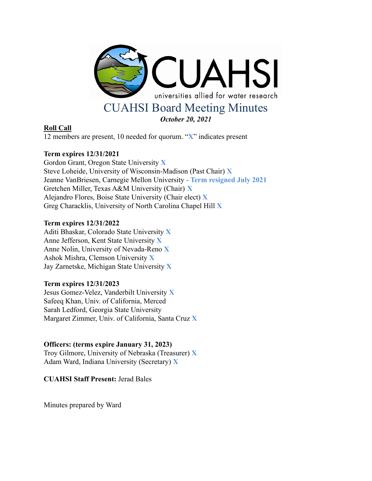

# **Roll Call**

12 members are present, 10 needed for quorum. "**X**" indicates present

# **Term expires 12/31/2021**

Gordon Grant, Oregon State University **X** Steve Loheide, University of Wisconsin-Madison (Past Chair) **X** Jeanne VanBriesen, Carnegie Mellon University **- Term resigned July 2021** Gretchen Miller, Texas A&M University (Chair) **X** Alejandro Flores, Boise State University (Chair elect) **X** Greg Characklis, University of North Carolina Chapel Hill **X**

# **Term expires 12/31/2022**

Aditi Bhaskar, Colorado State University **X** Anne Jefferson, Kent State University **X** Anne Nolin, University of Nevada-Reno **X** Ashok Mishra, Clemson University **X** Jay Zarnetske, Michigan State University **X**

# **Term expires 12/31/2023**

Jesus Gomez-Velez, Vanderbilt University **X** Safeeq Khan, Univ. of California, Merced Sarah Ledford, Georgia State University Margaret Zimmer, Univ. of California, Santa Cruz **X**

# **Officers: (terms expire January 31, 2023)**

Troy Gilmore, University of Nebraska (Treasurer) **X** Adam Ward, Indiana University (Secretary) **X**

**CUAHSI Staff Present:** Jerad Bales

Minutes prepared by Ward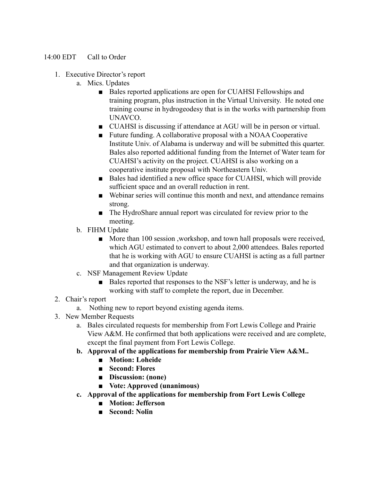## 14:00 EDT Call to Order

- 1. Executive Director's report
	- a. Mics. Updates
		- Bales reported applications are open for CUAHSI Fellowships and training program, plus instruction in the Virtual University. He noted one training course in hydrogeodesy that is in the works with partnership from UNAVCO.
		- CUAHSI is discussing if attendance at AGU will be in person or virtual.
		- Future funding. A collaborative proposal with a NOAA Cooperative Institute Univ. of Alabama is underway and will be submitted this quarter. Bales also reported additional funding from the Internet of Water team for CUAHSI's activity on the project. CUAHSI is also working on a cooperative institute proposal with Northeastern Univ.
		- Bales had identified a new office space for CUAHSI, which will provide sufficient space and an overall reduction in rent.
		- Webinar series will continue this month and next, and attendance remains strong.
		- The HydroShare annual report was circulated for review prior to the meeting.
	- b. FIHM Update
		- More than 100 session , workshop, and town hall proposals were received, which AGU estimated to convert to about 2,000 attendees. Bales reported that he is working with AGU to ensure CUAHSI is acting as a full partner and that organization is underway.
	- c. NSF Management Review Update
		- Bales reported that responses to the NSF's letter is underway, and he is working with staff to complete the report, due in December.
- 2. Chair's report
	- a. Nothing new to report beyond existing agenda items.
- 3. New Member Requests
	- a. Bales circulated requests for membership from Fort Lewis College and Prairie View A&M. He confirmed that both applications were received and are complete, except the final payment from Fort Lewis College.
	- **b. Approval of the applications for membership from Prairie View A&M..**
		- **■ Motion: Loheide**
		- **■ Second: Flores**
		- **■ Discussion: (none)**
		- **■ Vote: Approved (unanimous)**
	- **c. Approval of the applications for membership from Fort Lewis College**
		- **■ Motion: Jefferson**
		- **■ Second: Nolin**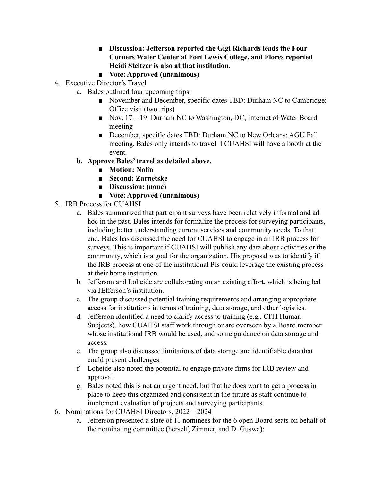- **■ Discussion: Jefferson reported the Gigi Richards leads the Four Corners Water Center at Fort Lewis College, and Flores reported Heidi Steltzer is also at that institution.**
- **■ Vote: Approved (unanimous)**
- 4. Executive Director's Travel
	- a. Bales outlined four upcoming trips:
		- November and December, specific dates TBD: Durham NC to Cambridge; Office visit (two trips)
		- Nov. 17 19: Durham NC to Washington, DC; Internet of Water Board meeting
		- December, specific dates TBD: Durham NC to New Orleans; AGU Fall meeting. Bales only intends to travel if CUAHSI will have a booth at the event.
	- **b. Approve Bales' travel as detailed above.**
		- **■ Motion: Nolin**
		- **■ Second: Zarnetske**
		- **■ Discussion: (none)**
		- **■ Vote: Approved (unanimous)**
- 5. IRB Process for CUAHSI
	- a. Bales summarized that participant surveys have been relatively informal and ad hoc in the past. Bales intends for formalize the process for surveying participants, including better understanding current services and community needs. To that end, Bales has discussed the need for CUAHSI to engage in an IRB process for surveys. This is important if CUAHSI will publish any data about activities or the community, which is a goal for the organization. His proposal was to identify if the IRB process at one of the institutional PIs could leverage the existing process at their home institution.
	- b. Jefferson and Loheide are collaborating on an existing effort, which is being led via JEfferson's institution.
	- c. The group discussed potential training requirements and arranging appropriate access for institutions in terms of training, data storage, and other logistics.
	- d. Jefferson identified a need to clarify access to training (e.g., CITI Human Subjects), how CUAHSI staff work through or are overseen by a Board member whose institutional IRB would be used, and some guidance on data storage and access.
	- e. The group also discussed limitations of data storage and identifiable data that could present challenges.
	- f. Loheide also noted the potential to engage private firms for IRB review and approval.
	- g. Bales noted this is not an urgent need, but that he does want to get a process in place to keep this organized and consistent in the future as staff continue to implement evaluation of projects and surveying participants.
- 6. Nominations for CUAHSI Directors, 2022 2024
	- a. Jefferson presented a slate of 11 nominees for the 6 open Board seats on behalf of the nominating committee (herself, Zimmer, and D. Guswa):